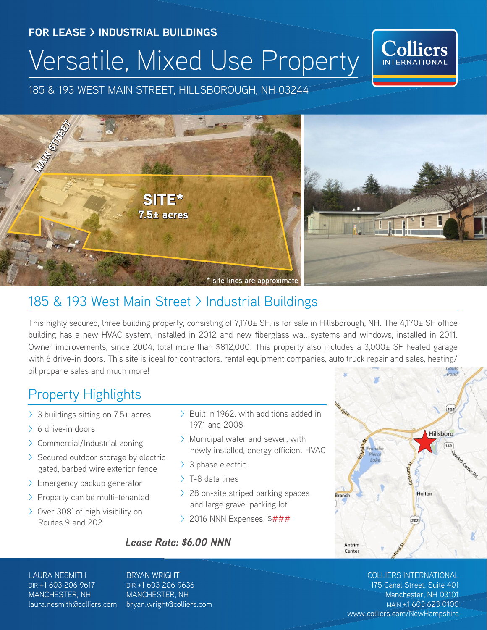# **FOR LEASE > INDUSTRIAL BUILDINGS** Versatile, Mixed Use Property



185 & 193 WEST MAIN STREET, HILLSBOROUGH, NH 03244



## 185 & 193 West Main Street > Industrial Buildings

This highly secured, three building property, consisting of 7,170± SF, is for sale in Hillsborough, NH. The 4,170± SF office building has a new HVAC system, installed in 2012 and new fiberglass wall systems and windows, installed in 2011. Owner improvements, since 2004, total more than \$812,000. This property also includes a 3,000± SF heated garage with 6 drive-in doors. This site is ideal for contractors, rental equipment companies, auto truck repair and sales, heating/ oil propane sales and much more!

## Property Highlights

- > 3 buildings sitting on 7.5± acres
- > 6 drive-in doors
- > Commercial/Industrial zoning
- > Secured outdoor storage by electric gated, barbed wire exterior fence
- > Emergency backup generator
- > Property can be multi-tenanted
- > Over 308' of high visibility on Routes 9 and 202
- > Built in 1962, with additions added in 1971 and 2008
- > Municipal water and sewer, with newly installed, energy efficient HVAC
- > 3 phase electric
- > T-8 data lines
- > 28 on-site striped parking spaces and large gravel parking lot
- > 2016 NNN Expenses: \$###

#### *Lease Rate: \$6.00 NNN*



#### LAURA NESMITH DIR +1 603 206 9617 MANCHESTER, NH laura.nesmith@colliers.com

BRYAN WRIGHT DIR +1 603 206 9636 MANCHESTER, NH bryan.wright@colliers.com

## COLLIERS INTERNATIONAL

175 Canal Street, Suite 401 Manchester, NH 03101 MAIN +1 603 623 0100 www.colliers.com/NewHampshire